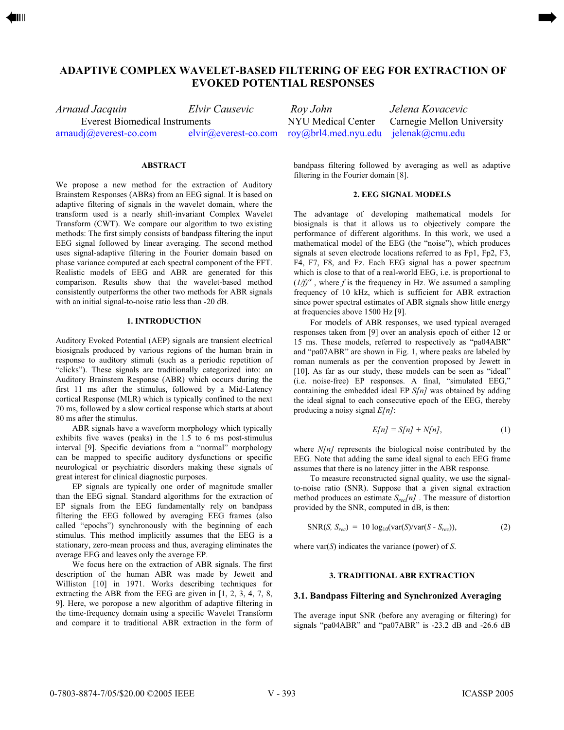# **ADAPTIVE COMPLEX WAVELET-BASED FILTERING OF EEG FOR EXTRACTION OF EVOKED POTENTIAL RESPONSES**

<span id="page-0-0"></span>[➡](#page-1-0)

*Arnaud Jacquin Elvir Causevic Roy John Jelena Kovacevic*  arnaudj@everest-co.com elvir@everest-co.com roy@brl4.med.nyu.edu jelenak@cmu.edu

**ABSTRACT**

We propose a new method for the extraction of Auditory Brainstem Responses (ABRs) from an EEG signal. It is based on adaptive filtering of signals in the wavelet domain, where the transform used is a nearly shift-invariant Complex Wavelet Transform (CWT). We compare our algorithm to two existing methods: The first simply consists of bandpass filtering the input EEG signal followed by linear averaging. The second method uses signal-adaptive filtering in the Fourier domain based on phase variance computed at each spectral component of the FFT. Realistic models of EEG and ABR are generated for this comparison. Results show that the wavelet-based method consistently outperforms the other two methods for ABR signals with an initial signal-to-noise ratio less than -20 dB.

## **1. INTRODUCTION**

Auditory Evoked Potential (AEP) signals are transient electrical biosignals produced by various regions of the human brain in response to auditory stimuli (such as a periodic repetition of "clicks"). These signals are traditionally categorized into: an Auditory Brainstem Response (ABR) which occurs during the first 11 ms after the stimulus, followed by a Mid-Latency cortical Response (MLR) which is typically confined to the next 70 ms, followed by a slow cortical response which starts at about 80 ms after the stimulus.

ABR signals have a waveform morphology which typically exhibits five waves (peaks) in the 1.5 to 6 ms post-stimulus interval [9]. Specific deviations from a "normal" morphology can be mapped to specific auditory dysfunctions or specific neurological or psychiatric disorders making these signals of great interest for clinical diagnostic purposes.

EP signals are typically one order of magnitude smaller than the EEG signal. Standard algorithms for the extraction of EP signals from the EEG fundamentally rely on bandpass filtering the EEG followed by averaging EEG frames (also called "epochs") synchronously with the beginning of each stimulus. This method implicitly assumes that the EEG is a stationary, zero-mean process and thus, averaging eliminates the average EEG and leaves only the average EP.

We focus here on the extraction of ABR signals. The first description of the human ABR was made by Jewett and Williston [10] in 1971. Works describing techniques for extracting the ABR from the EEG are given in [1, 2, 3, 4, 7, 8, 9]. Here, we poropose a new algorithm of adaptive filtering in the time-frequency domain using a specific Wavelet Transform and compare it to traditional ABR extraction in the form of

Everest Biomedical Instruments NYU Medical Center Carnegie Mellon University

bandpass filtering followed by averaging as well as adaptive filtering in the Fourier domain [8].

#### **2. EEG SIGNAL MODELS**

The advantage of developing mathematical models for biosignals is that it allows us to objectively compare the performance of different algorithms. In this work, we used a mathematical model of the EEG (the "noise"), which produces signals at seven electrode locations referred to as Fp1, Fp2, F3, F4, F7, F8, and Fz. Each EEG signal has a power spectrum which is close to that of a real-world EEG, i.e. is proportional to  $(1/f)^\alpha$ , where *f* is the frequency in Hz. We assumed a sampling frequency of 10 kHz, which is sufficient for ABR extraction since power spectral estimates of ABR signals show little energy at frequencies above 1500 Hz [9].

For models of ABR responses, we used typical averaged responses taken from [9] over an analysis epoch of either 12 or 15 ms. These models, referred to respectively as "pa04ABR" and "pa07ABR" are shown in Fig. 1, where peaks are labeled by roman numerals as per the convention proposed by Jewett in [10]. As far as our study, these models can be seen as "ideal" (i.e. noise-free) EP responses. A final, "simulated EEG," containing the embedded ideal EP *S[n]* was obtained by adding the ideal signal to each consecutive epoch of the EEG, thereby producing a noisy signal *E[n]*:

$$
E[n] = S[n] + N[n], \tag{1}
$$

where *N[n]* represents the biological noise contributed by the EEG. Note that adding the same ideal signal to each EEG frame assumes that there is no latency jitter in the ABR response.

To measure reconstructed signal quality, we use the signalto-noise ratio (SNR). Suppose that a given signal extraction method produces an estimate *Srec[n]* . The measure of distortion provided by the SNR, computed in dB, is then:

$$
SNR(S, S_{rec}) = 10 log10(var(S)/var(S - S_{rec})),
$$
 (2)

where var(*S*) indicates the variance (power) of *S*.

# **3. TRADITIONAL ABR EXTRACTION**

#### **3.1. Bandpass Filtering and Synchronized Averaging**

The average input SNR (before any averaging or filtering) for signals "pa04ABR" and "pa07ABR" is -23.2 dB and -26.6 dB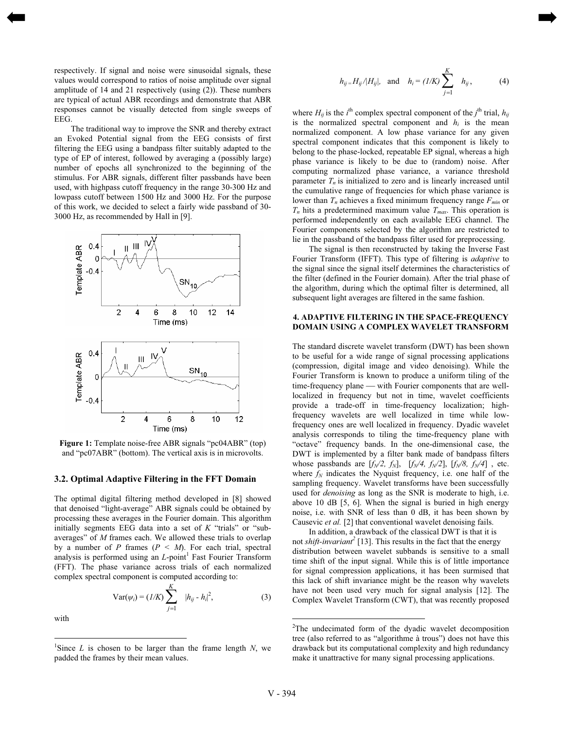respectively. If signal and noise were sinusoidal signals, these values would correspond to ratios of noise amplitude over signal amplitude of 14 and 21 respectively (using (2)). These numbers are typical of actual ABR recordings and demonstrate that ABR responses cannot be visually detected from single sweeps of EEG.

<span id="page-1-0"></span>[➡](#page-0-0)

The traditional way to improve the SNR and thereby extract an Evoked Potential signal from the EEG consists of first filtering the EEG using a bandpass filter suitably adapted to the type of EP of interest, followed by averaging a (possibly large) number of epochs all synchronized to the beginning of the stimulus. For ABR signals, different filter passbands have been used, with highpass cutoff frequency in the range 30-300 Hz and lowpass cutoff between 1500 Hz and 3000 Hz. For the purpose of this work, we decided to select a fairly wide passband of 30- 3000 Hz, as recommended by Hall in [9].



**Figure 1:** Template noise-free ABR signals "pc04ABR" (top) and "pc07ABR" (bottom). The vertical axis is in microvolts.

#### **3.2. Optimal Adaptive Filtering in the FFT Domain**

The optimal digital filtering method developed in [8] showed that denoised "light-average" ABR signals could be obtained by processing these averages in the Fourier domain. This algorithm initially segments EEG data into a set of *K* "trials" or "subaverages" of *M* frames each. We allowed these trials to overlap by a number of *P* frames (*P < M*). For each trial, spectral analysis is performed using an *L*-point<sup>1</sup> Fast Fourier Transform (FFT). The phase variance across trials of each normalized complex spectral component is computed according to:

Var
$$
(\psi_i)
$$
 =  $(1/K)\sum_{j=1}^{K} |h_{ij} - h_i|^2$ , (3)

with

$$
h_{ij} = H_{ij} / |H_{ij}|
$$
, and  $h_i = (1/K) \sum_{j=1}^{K} h_{ij}$ , (4)

where  $H_{ij}$  is the *i*<sup>th</sup> complex spectral component of the *j*<sup>th</sup> trial,  $h_{ij}$ is the normalized spectral component and  $h_i$  is the mean normalized component. A low phase variance for any given spectral component indicates that this component is likely to belong to the phase-locked, repeatable EP signal, whereas a high phase variance is likely to be due to (random) noise. After computing normalized phase variance, a variance threshold parameter  $T<sub>n</sub>$  is initialized to zero and is linearly increased until the cumulative range of frequencies for which phase variance is lower than  $T_n$  achieves a fixed minimum frequency range  $F_{min}$  or  $T_n$  hits a predetermined maximum value  $T_{max}$ . This operation is performed independently on each available EEG channel. The Fourier components selected by the algorithm are restricted to lie in the passband of the bandpass filter used for preprocessing.

[➡](#page-2-0)

The signal is then reconstructed by taking the Inverse Fast Fourier Transform (IFFT). This type of filtering is *adaptive* to the signal since the signal itself determines the characteristics of the filter (defined in the Fourier domain). After the trial phase of the algorithm, during which the optimal filter is determined, all subsequent light averages are filtered in the same fashion.

## **4. ADAPTIVE FILTERING IN THE SPACE-FREQUENCY DOMAIN USING A COMPLEX WAVELET TRANSFORM**

The standard discrete wavelet transform (DWT) has been shown to be useful for a wide range of signal processing applications (compression, digital image and video denoising). While the Fourier Transform is known to produce a uniform tiling of the time-frequency plane - with Fourier components that are welllocalized in frequency but not in time, wavelet coefficients provide a trade-off in time-frequency localization; highfrequency wavelets are well localized in time while lowfrequency ones are well localized in frequency. Dyadic wavelet analysis corresponds to tiling the time-frequency plane with "octave" frequency bands. In the one-dimensional case, the DWT is implemented by a filter bank made of bandpass filters whose passbands are  $[f_N/2, f_N]$ ,  $[f_N/4, f_N/2]$ ,  $[f_N/8, f_N/4]$ , etc. where  $f_N$  indicates the Nyquist frequency, i.e. one half of the sampling frequency. Wavelet transforms have been successfully used for *denoising* as long as the SNR is moderate to high, i.e. above 10 dB [5, 6]. When the signal is buried in high energy noise, i.e. with SNR of less than 0 dB, it has been shown by Causevic *et al.* [2] that conventional wavelet denoising fails.

In addition, a drawback of the classical DWT is that it is not *shift-invariant<sup>2</sup>* [13]. This results in the fact that the energy distribution between wavelet subbands is sensitive to a small time shift of the input signal. While this is of little importance for signal compression applications, it has been surmised that this lack of shift invariance might be the reason why wavelets have not been used very much for signal analysis [12]. The Complex Wavelet Transform (CWT), that was recently proposed

<sup>&</sup>lt;sup>1</sup>Since *L* is chosen to be larger than the frame length *N*, we padded the frames by their mean values.

<sup>&</sup>lt;sup>2</sup>The undecimated form of the dyadic wavelet decomposition tree (also referred to as "algorithme à trous") does not have this drawback but its computational complexity and high redundancy make it unattractive for many signal processing applications.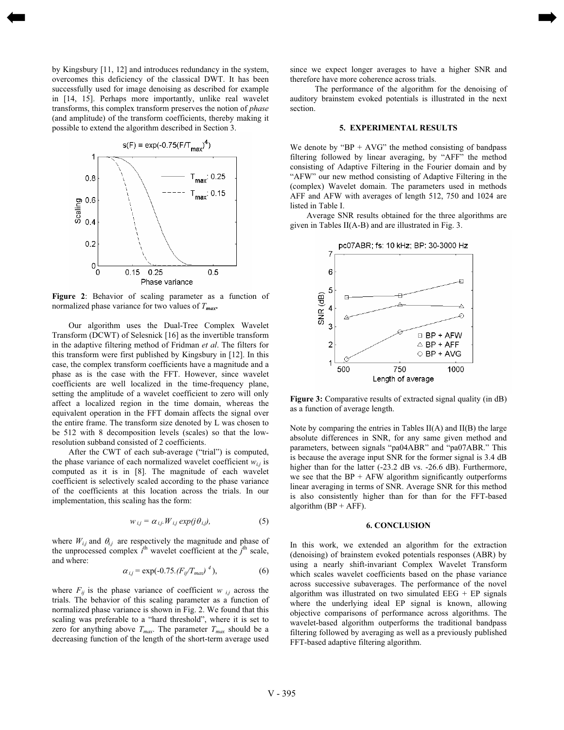by Kingsbury [11, 12] and introduces redundancy in the system, overcomes this deficiency of the classical DWT. It has been successfully used for image denoising as described for example in [14, 15]. Perhaps more importantly, unlike real wavelet transforms, this complex transform preserves the notion of *phase* (and amplitude) of the transform coefficients, thereby making it possible to extend the algorithm described in Section 3.

<span id="page-2-0"></span>[➡](#page-1-0)



**Figure 2**: Behavior of scaling parameter as a function of normalized phase variance for two values of *Tmax***.**

Our algorithm uses the Dual-Tree Complex Wavelet Transform (DCWT) of Selesnick [16] as the invertible transform in the adaptive filtering method of Fridman *et al*. The filters for this transform were first published by Kingsbury in [12]. In this case, the complex transform coefficients have a magnitude and a phase as is the case with the FFT. However, since wavelet coefficients are well localized in the time-frequency plane, setting the amplitude of a wavelet coefficient to zero will only affect a localized region in the time domain, whereas the equivalent operation in the FFT domain affects the signal over the entire frame. The transform size denoted by L was chosen to be 512 with 8 decomposition levels (scales) so that the lowresolution subband consisted of 2 coefficients.

After the CWT of each sub-average ("trial") is computed, the phase variance of each normalized wavelet coefficient  $w_{i,j}$  is computed as it is in [8]. The magnitude of each wavelet coefficient is selectively scaled according to the phase variance of the coefficients at this location across the trials. In our implementation, this scaling has the form:

$$
w_{ij} = \alpha_{ij} W_{ij} \exp(j\theta_{ij}), \qquad (5)
$$

where  $W_{i,j}$  and  $\theta_{i,j}$  are respectively the magnitude and phase of the unprocessed complex  $i^{\text{th}}$  wavelet coefficient at the  $j^{\text{th}}$  scale, and where:

$$
\alpha_{ij} = \exp(-0.75 \cdot (F_{ij}/T_{max})^4), \tag{6}
$$

where  $F_{ii}$  is the phase variance of coefficient  $w_{ii}$  across the trials. The behavior of this scaling parameter as a function of normalized phase variance is shown in Fig. 2. We found that this scaling was preferable to a "hard threshold", where it is set to zero for anything above  $T_{max}$ . The parameter  $T_{max}$  should be a decreasing function of the length of the short-term average used since we expect longer averages to have a higher SNR and therefore have more coherence across trials.

[➡](#page-3-0)

The performance of the algorithm for the denoising of auditory brainstem evoked potentials is illustrated in the next section.

#### **5. EXPERIMENTAL RESULTS**

We denote by " $BP + AVG$ " the method consisting of bandpass filtering followed by linear averaging, by "AFF" the method consisting of Adaptive Filtering in the Fourier domain and by "AFW" our new method consisting of Adaptive Filtering in the (complex) Wavelet domain. The parameters used in methods AFF and AFW with averages of length 512, 750 and 1024 are listed in Table I.

Average SNR results obtained for the three algorithms are given in Tables II(A-B) and are illustrated in Fig. 3.



**Figure 3:** Comparative results of extracted signal quality (in dB) as a function of average length.

Note by comparing the entries in Tables II(A) and II(B) the large absolute differences in SNR, for any same given method and parameters, between signals "pa04ABR" and "pa07ABR." This is because the average input SNR for the former signal is 3.4 dB higher than for the latter (-23.2 dB vs. -26.6 dB). Furthermore, we see that the  $BP + AFW$  algorithm significantly outperforms linear averaging in terms of SNR. Average SNR for this method is also consistently higher than for than for the FFT-based algorithm  $(BP + AFF)$ .

#### **6. CONCLUSION**

In this work, we extended an algorithm for the extraction (denoising) of brainstem evoked potentials responses (ABR) by using a nearly shift-invariant Complex Wavelet Transform which scales wavelet coefficients based on the phase variance across successive subaverages. The performance of the novel algorithm was illustrated on two simulated  $EEG + EP$  signals where the underlying ideal EP signal is known, allowing objective comparisons of performance across algorithms. The wavelet-based algorithm outperforms the traditional bandpass filtering followed by averaging as well as a previously published FFT-based adaptive filtering algorithm.